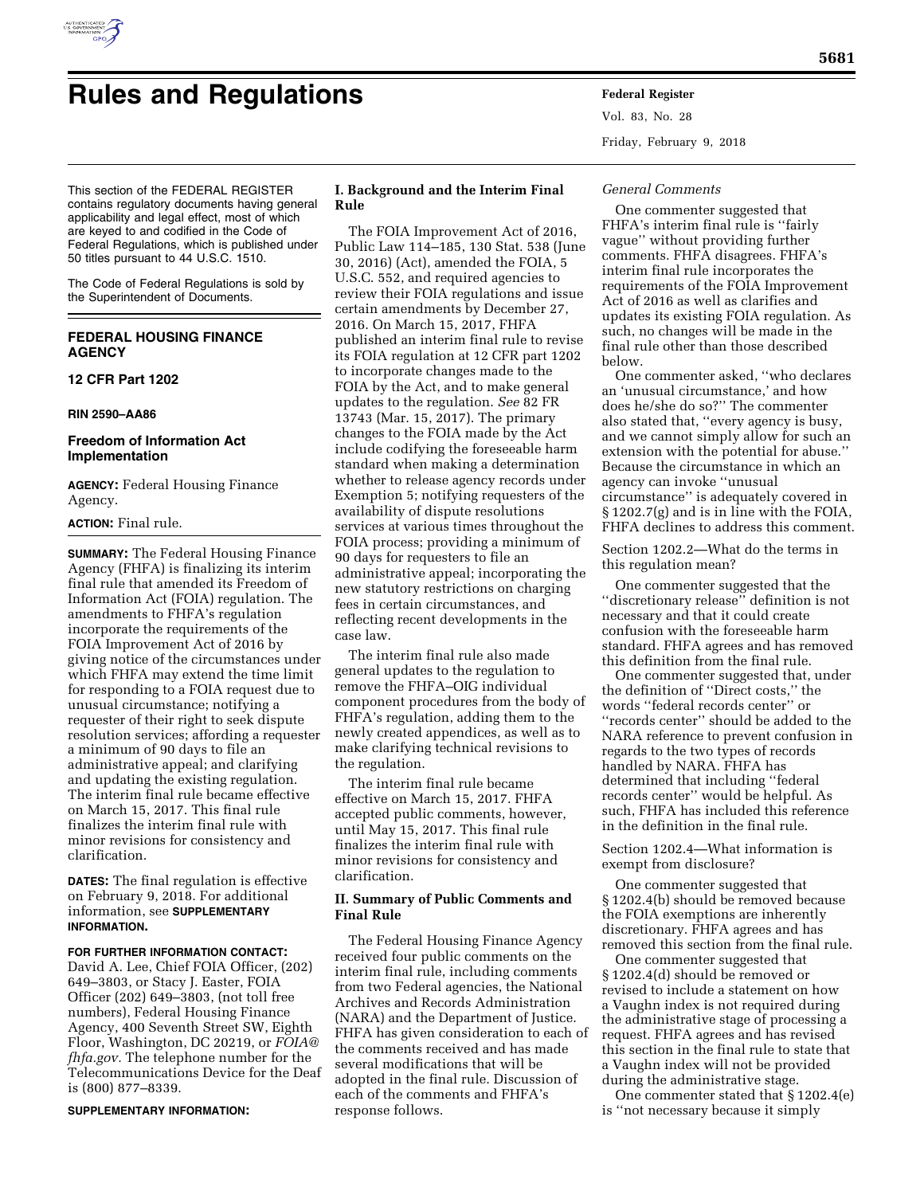

# **Rules and Regulations Federal Register**

Vol. 83, No. 28 Friday, February 9, 2018

This section of the FEDERAL REGISTER contains regulatory documents having general applicability and legal effect, most of which are keyed to and codified in the Code of Federal Regulations, which is published under 50 titles pursuant to 44 U.S.C. 1510.

The Code of Federal Regulations is sold by the Superintendent of Documents.

# **FEDERAL HOUSING FINANCE AGENCY**

# **12 CFR Part 1202**

## **RIN 2590–AA86**

# **Freedom of Information Act Implementation**

**AGENCY:** Federal Housing Finance Agency.

## **ACTION:** Final rule.

**SUMMARY:** The Federal Housing Finance Agency (FHFA) is finalizing its interim final rule that amended its Freedom of Information Act (FOIA) regulation. The amendments to FHFA's regulation incorporate the requirements of the FOIA Improvement Act of 2016 by giving notice of the circumstances under which FHFA may extend the time limit for responding to a FOIA request due to unusual circumstance; notifying a requester of their right to seek dispute resolution services; affording a requester a minimum of 90 days to file an administrative appeal; and clarifying and updating the existing regulation. The interim final rule became effective on March 15, 2017. This final rule finalizes the interim final rule with minor revisions for consistency and clarification.

**DATES:** The final regulation is effective on February 9, 2018. For additional information, see **SUPPLEMENTARY INFORMATION.** 

## **FOR FURTHER INFORMATION CONTACT:**

David A. Lee, Chief FOIA Officer, (202) 649–3803, or Stacy J. Easter, FOIA Officer (202) 649–3803, (not toll free numbers), Federal Housing Finance Agency, 400 Seventh Street SW, Eighth Floor, Washington, DC 20219, or *[FOIA@](mailto:FOIA@fhfa.gov) [fhfa.gov.](mailto:FOIA@fhfa.gov)* The telephone number for the Telecommunications Device for the Deaf is (800) 877–8339.

#### **SUPPLEMENTARY INFORMATION:**

# **I. Background and the Interim Final Rule**

The FOIA Improvement Act of 2016, Public Law 114–185, 130 Stat. 538 (June 30, 2016) (Act), amended the FOIA, 5 U.S.C. 552, and required agencies to review their FOIA regulations and issue certain amendments by December 27, 2016. On March 15, 2017, FHFA published an interim final rule to revise its FOIA regulation at 12 CFR part 1202 to incorporate changes made to the FOIA by the Act, and to make general updates to the regulation. *See* 82 FR 13743 (Mar. 15, 2017). The primary changes to the FOIA made by the Act include codifying the foreseeable harm standard when making a determination whether to release agency records under Exemption 5; notifying requesters of the availability of dispute resolutions services at various times throughout the FOIA process; providing a minimum of 90 days for requesters to file an administrative appeal; incorporating the new statutory restrictions on charging fees in certain circumstances, and reflecting recent developments in the case law.

The interim final rule also made general updates to the regulation to remove the FHFA–OIG individual component procedures from the body of FHFA's regulation, adding them to the newly created appendices, as well as to make clarifying technical revisions to the regulation.

The interim final rule became effective on March 15, 2017. FHFA accepted public comments, however, until May 15, 2017. This final rule finalizes the interim final rule with minor revisions for consistency and clarification.

## **II. Summary of Public Comments and Final Rule**

The Federal Housing Finance Agency received four public comments on the interim final rule, including comments from two Federal agencies, the National Archives and Records Administration (NARA) and the Department of Justice. FHFA has given consideration to each of the comments received and has made several modifications that will be adopted in the final rule. Discussion of each of the comments and FHFA's response follows.

#### *General Comments*

One commenter suggested that FHFA's interim final rule is ''fairly vague'' without providing further comments. FHFA disagrees. FHFA's interim final rule incorporates the requirements of the FOIA Improvement Act of 2016 as well as clarifies and updates its existing FOIA regulation. As such, no changes will be made in the final rule other than those described below.

One commenter asked, ''who declares an 'unusual circumstance,' and how does he/she do so?'' The commenter also stated that, ''every agency is busy, and we cannot simply allow for such an extension with the potential for abuse.'' Because the circumstance in which an agency can invoke ''unusual circumstance'' is adequately covered in § 1202.7(g) and is in line with the FOIA, FHFA declines to address this comment.

Section 1202.2—What do the terms in this regulation mean?

One commenter suggested that the ''discretionary release'' definition is not necessary and that it could create confusion with the foreseeable harm standard. FHFA agrees and has removed this definition from the final rule.

One commenter suggested that, under the definition of ''Direct costs,'' the words ''federal records center'' or ''records center'' should be added to the NARA reference to prevent confusion in regards to the two types of records handled by NARA. FHFA has determined that including ''federal records center'' would be helpful. As such, FHFA has included this reference in the definition in the final rule.

Section 1202.4—What information is exempt from disclosure?

One commenter suggested that § 1202.4(b) should be removed because the FOIA exemptions are inherently discretionary. FHFA agrees and has removed this section from the final rule.

One commenter suggested that § 1202.4(d) should be removed or revised to include a statement on how a Vaughn index is not required during the administrative stage of processing a request. FHFA agrees and has revised this section in the final rule to state that a Vaughn index will not be provided during the administrative stage.

One commenter stated that § 1202.4(e) is ''not necessary because it simply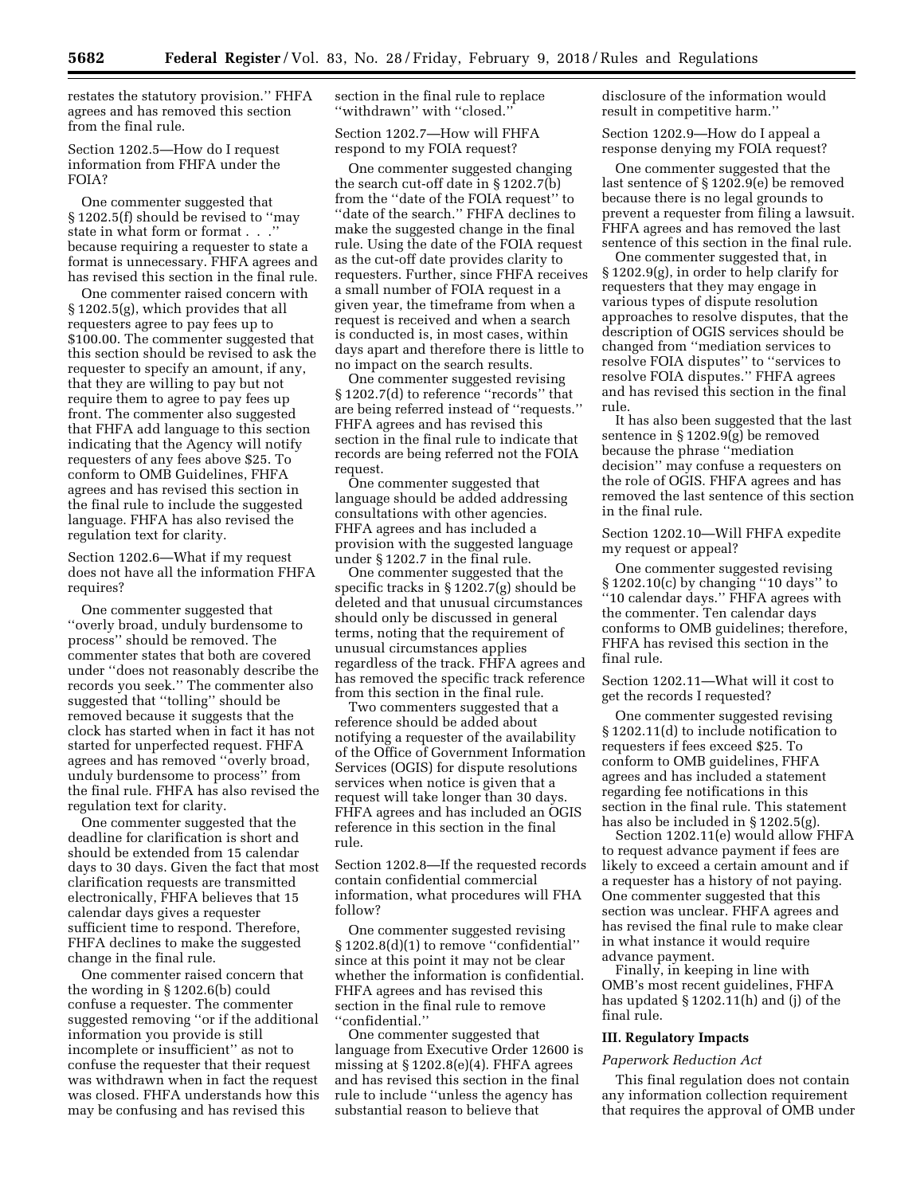restates the statutory provision.'' FHFA agrees and has removed this section from the final rule.

Section 1202.5—How do I request information from FHFA under the FOIA?

One commenter suggested that § 1202.5(f) should be revised to ''may state in what form or format . . .'' because requiring a requester to state a format is unnecessary. FHFA agrees and has revised this section in the final rule.

One commenter raised concern with § 1202.5(g), which provides that all requesters agree to pay fees up to \$100.00. The commenter suggested that this section should be revised to ask the requester to specify an amount, if any, that they are willing to pay but not require them to agree to pay fees up front. The commenter also suggested that FHFA add language to this section indicating that the Agency will notify requesters of any fees above \$25. To conform to OMB Guidelines, FHFA agrees and has revised this section in the final rule to include the suggested language. FHFA has also revised the regulation text for clarity.

Section 1202.6—What if my request does not have all the information FHFA requires?

One commenter suggested that ''overly broad, unduly burdensome to process'' should be removed. The commenter states that both are covered under ''does not reasonably describe the records you seek.'' The commenter also suggested that ''tolling'' should be removed because it suggests that the clock has started when in fact it has not started for unperfected request. FHFA agrees and has removed ''overly broad, unduly burdensome to process'' from the final rule. FHFA has also revised the regulation text for clarity.

One commenter suggested that the deadline for clarification is short and should be extended from 15 calendar days to 30 days. Given the fact that most clarification requests are transmitted electronically, FHFA believes that 15 calendar days gives a requester sufficient time to respond. Therefore, FHFA declines to make the suggested change in the final rule.

One commenter raised concern that the wording in § 1202.6(b) could confuse a requester. The commenter suggested removing ''or if the additional information you provide is still incomplete or insufficient'' as not to confuse the requester that their request was withdrawn when in fact the request was closed. FHFA understands how this may be confusing and has revised this

section in the final rule to replace ''withdrawn'' with ''closed.''

Section 1202.7—How will FHFA respond to my FOIA request?

One commenter suggested changing the search cut-off date in § 1202.7(b) from the ''date of the FOIA request'' to "date of the search." FHFA declines to make the suggested change in the final rule. Using the date of the FOIA request as the cut-off date provides clarity to requesters. Further, since FHFA receives a small number of FOIA request in a given year, the timeframe from when a request is received and when a search is conducted is, in most cases, within days apart and therefore there is little to no impact on the search results.

One commenter suggested revising § 1202.7(d) to reference ''records'' that are being referred instead of ''requests.'' FHFA agrees and has revised this section in the final rule to indicate that records are being referred not the FOIA request.

One commenter suggested that language should be added addressing consultations with other agencies. FHFA agrees and has included a provision with the suggested language under § 1202.7 in the final rule.

One commenter suggested that the specific tracks in § 1202.7(g) should be deleted and that unusual circumstances should only be discussed in general terms, noting that the requirement of unusual circumstances applies regardless of the track. FHFA agrees and has removed the specific track reference from this section in the final rule.

Two commenters suggested that a reference should be added about notifying a requester of the availability of the Office of Government Information Services (OGIS) for dispute resolutions services when notice is given that a request will take longer than 30 days. FHFA agrees and has included an OGIS reference in this section in the final rule.

Section 1202.8—If the requested records contain confidential commercial information, what procedures will FHA follow?

One commenter suggested revising § 1202.8(d)(1) to remove "confidential" since at this point it may not be clear whether the information is confidential. FHFA agrees and has revised this section in the final rule to remove ''confidential.''

One commenter suggested that language from Executive Order 12600 is missing at  $\S 1202.8(e)(4)$ . FHFA agrees and has revised this section in the final rule to include ''unless the agency has substantial reason to believe that

disclosure of the information would result in competitive harm.''

Section 1202.9—How do I appeal a response denying my FOIA request?

One commenter suggested that the last sentence of § 1202.9(e) be removed because there is no legal grounds to prevent a requester from filing a lawsuit. FHFA agrees and has removed the last sentence of this section in the final rule.

One commenter suggested that, in § 1202.9(g), in order to help clarify for requesters that they may engage in various types of dispute resolution approaches to resolve disputes, that the description of OGIS services should be changed from ''mediation services to resolve FOIA disputes'' to ''services to resolve FOIA disputes.'' FHFA agrees and has revised this section in the final rule.

It has also been suggested that the last sentence in § 1202.9(g) be removed because the phrase ''mediation decision'' may confuse a requesters on the role of OGIS. FHFA agrees and has removed the last sentence of this section in the final rule.

Section 1202.10—Will FHFA expedite my request or appeal?

One commenter suggested revising § 1202.10(c) by changing ''10 days'' to ''10 calendar days.'' FHFA agrees with the commenter. Ten calendar days conforms to OMB guidelines; therefore, FHFA has revised this section in the final rule.

Section 1202.11—What will it cost to get the records I requested?

One commenter suggested revising § 1202.11(d) to include notification to requesters if fees exceed \$25. To conform to OMB guidelines, FHFA agrees and has included a statement regarding fee notifications in this section in the final rule. This statement has also be included in § 1202.5(g).

Section 1202.11(e) would allow FHFA to request advance payment if fees are likely to exceed a certain amount and if a requester has a history of not paying. One commenter suggested that this section was unclear. FHFA agrees and has revised the final rule to make clear in what instance it would require advance payment.

Finally, in keeping in line with OMB's most recent guidelines, FHFA has updated § 1202.11(h) and (j) of the final rule.

#### **III. Regulatory Impacts**

#### *Paperwork Reduction Act*

This final regulation does not contain any information collection requirement that requires the approval of OMB under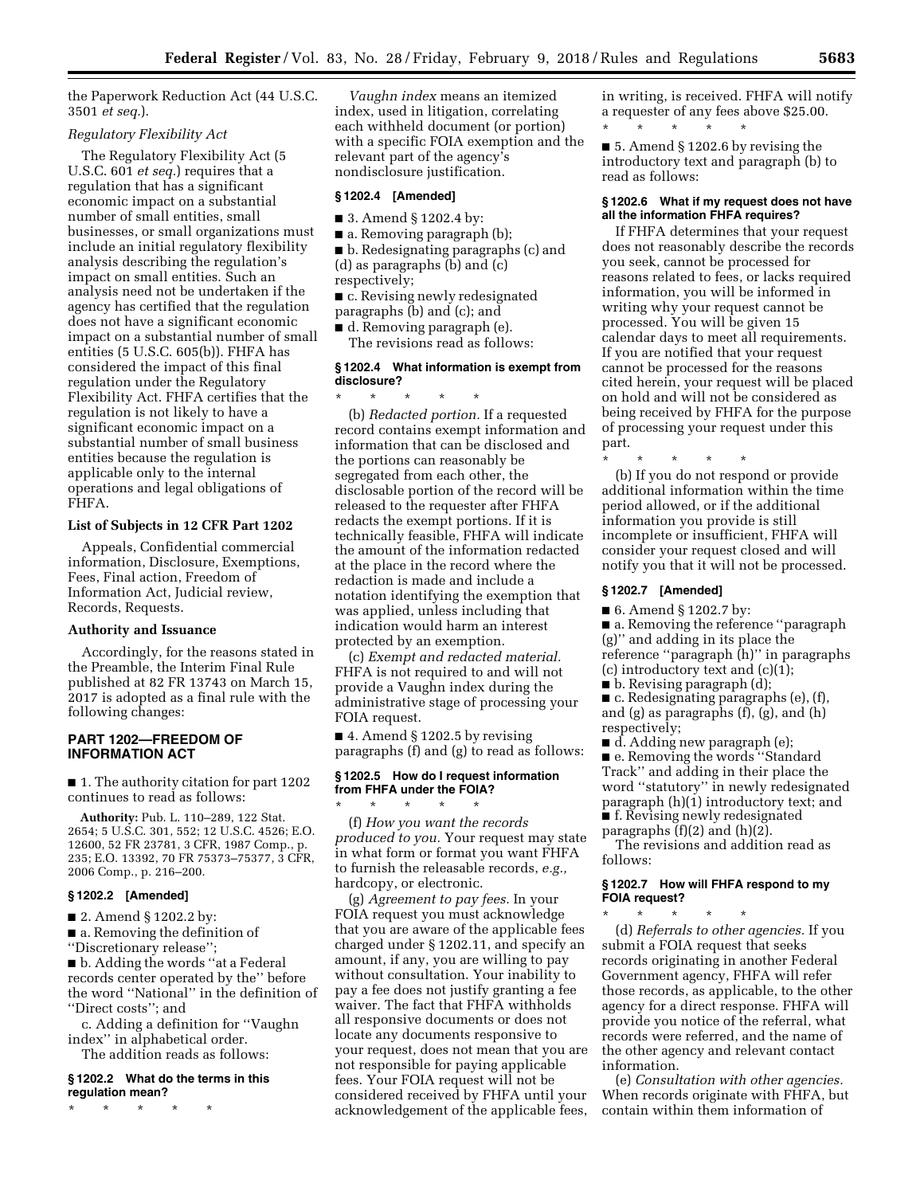the Paperwork Reduction Act (44 U.S.C. 3501 *et seq.*).

#### *Regulatory Flexibility Act*

The Regulatory Flexibility Act (5 U.S.C. 601 *et seq.*) requires that a regulation that has a significant economic impact on a substantial number of small entities, small businesses, or small organizations must include an initial regulatory flexibility analysis describing the regulation's impact on small entities. Such an analysis need not be undertaken if the agency has certified that the regulation does not have a significant economic impact on a substantial number of small entities (5 U.S.C. 605(b)). FHFA has considered the impact of this final regulation under the Regulatory Flexibility Act. FHFA certifies that the regulation is not likely to have a significant economic impact on a substantial number of small business entities because the regulation is applicable only to the internal operations and legal obligations of FHFA.

#### **List of Subjects in 12 CFR Part 1202**

Appeals, Confidential commercial information, Disclosure, Exemptions, Fees, Final action, Freedom of Information Act, Judicial review, Records, Requests.

#### **Authority and Issuance**

Accordingly, for the reasons stated in the Preamble, the Interim Final Rule published at 82 FR 13743 on March 15, 2017 is adopted as a final rule with the following changes:

# **PART 1202—FREEDOM OF INFORMATION ACT**

■ 1. The authority citation for part 1202 continues to read as follows:

**Authority:** Pub. L. 110–289, 122 Stat. 2654; 5 U.S.C. 301, 552; 12 U.S.C. 4526; E.O. 12600, 52 FR 23781, 3 CFR, 1987 Comp., p. 235; E.O. 13392, 70 FR 75373–75377, 3 CFR, 2006 Comp., p. 216–200.

## **§ 1202.2 [Amended]**

■ 2. Amend § 1202.2 by:

■ a. Removing the definition of ''Discretionary release'';

■ b. Adding the words "at a Federal records center operated by the'' before the word ''National'' in the definition of ''Direct costs''; and

c. Adding a definition for ''Vaughn index'' in alphabetical order.

The addition reads as follows:

**§ 1202.2 What do the terms in this regulation mean?** 

\* \* \* \* \*

*Vaughn index* means an itemized index, used in litigation, correlating each withheld document (or portion) with a specific FOIA exemption and the relevant part of the agency's nondisclosure justification.

## **§ 1202.4 [Amended]**

- 3. Amend § 1202.4 by:
- a. Removing paragraph (b);

■ b. Redesignating paragraphs (c) and (d) as paragraphs (b) and (c)

respectively;

■ c. Revising newly redesignated paragraphs (b) and (c); and

■ d. Removing paragraph (e).

The revisions read as follows:

#### **§ 1202.4 What information is exempt from disclosure?**

\* \* \* \* \* (b) *Redacted portion.* If a requested record contains exempt information and information that can be disclosed and the portions can reasonably be segregated from each other, the disclosable portion of the record will be released to the requester after FHFA redacts the exempt portions. If it is technically feasible, FHFA will indicate the amount of the information redacted at the place in the record where the redaction is made and include a notation identifying the exemption that was applied, unless including that indication would harm an interest protected by an exemption.

(c) *Exempt and redacted material.*  FHFA is not required to and will not provide a Vaughn index during the administrative stage of processing your FOIA request.

■ 4. Amend § 1202.5 by revising paragraphs (f) and (g) to read as follows:

#### **§ 1202.5 How do I request information from FHFA under the FOIA?**  \* \* \* \* \*

(f) *How you want the records produced to you.* Your request may state in what form or format you want FHFA to furnish the releasable records, *e.g.,*  hardcopy, or electronic.

(g) *Agreement to pay fees.* In your FOIA request you must acknowledge that you are aware of the applicable fees charged under § 1202.11, and specify an amount, if any, you are willing to pay without consultation. Your inability to pay a fee does not justify granting a fee waiver. The fact that FHFA withholds all responsive documents or does not locate any documents responsive to your request, does not mean that you are not responsible for paying applicable fees. Your FOIA request will not be considered received by FHFA until your acknowledgement of the applicable fees,

in writing, is received. FHFA will notify a requester of any fees above \$25.00. \* \* \* \* \*

■ 5. Amend § 1202.6 by revising the introductory text and paragraph (b) to read as follows:

## **§ 1202.6 What if my request does not have all the information FHFA requires?**

If FHFA determines that your request does not reasonably describe the records you seek, cannot be processed for reasons related to fees, or lacks required information, you will be informed in writing why your request cannot be processed. You will be given 15 calendar days to meet all requirements. If you are notified that your request cannot be processed for the reasons cited herein, your request will be placed on hold and will not be considered as being received by FHFA for the purpose of processing your request under this part.

\* \* \* \* \* (b) If you do not respond or provide additional information within the time period allowed, or if the additional information you provide is still incomplete or insufficient, FHFA will consider your request closed and will notify you that it will not be processed.

#### **§ 1202.7 [Amended]**

■ 6. Amend § 1202.7 by:

- a. Removing the reference "paragraph (g)'' and adding in its place the reference ''paragraph (h)'' in paragraphs (c) introductory text and  $(c)(1)$ ;
- $\blacksquare$  b. Revising paragraph  $(d)$ ;

■ c. Redesignating paragraphs (e), (f), and (g) as paragraphs (f), (g), and (h) respectively;

- d. Adding new paragraph (e); ■ e. Removing the words "Standard Track'' and adding in their place the word ''statutory'' in newly redesignated paragraph (h)(1) introductory text; and ■ f. Revising newly redesignated
- paragraphs (f)(2) and (h)(2).

The revisions and addition read as follows:

## **§ 1202.7 How will FHFA respond to my FOIA request?**

\* \* \* \* \* (d) *Referrals to other agencies.* If you submit a FOIA request that seeks records originating in another Federal Government agency, FHFA will refer those records, as applicable, to the other agency for a direct response. FHFA will provide you notice of the referral, what records were referred, and the name of the other agency and relevant contact information.

(e) *Consultation with other agencies.*  When records originate with FHFA, but contain within them information of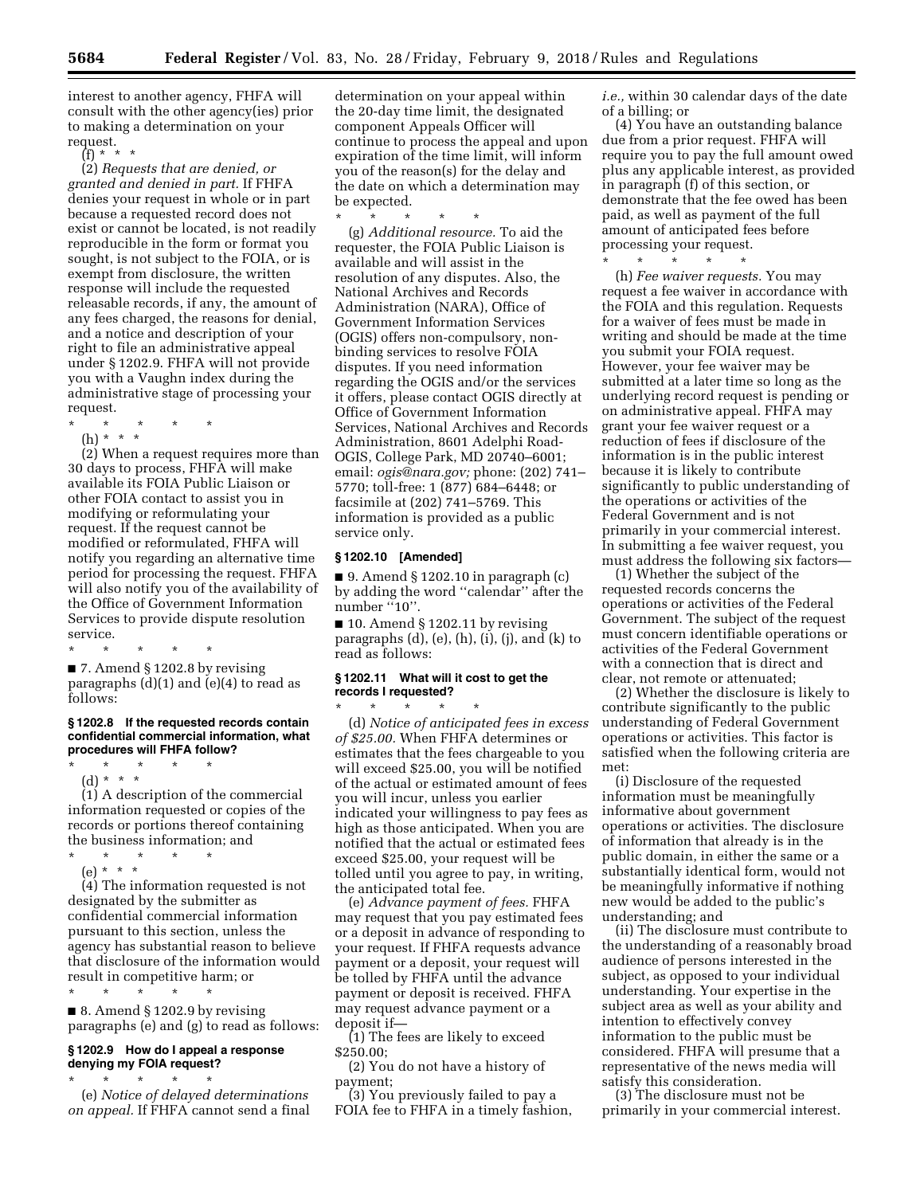interest to another agency, FHFA will consult with the other agency(ies) prior to making a determination on your request.

(f) \* \* \*

(2) *Requests that are denied, or granted and denied in part.* If FHFA denies your request in whole or in part because a requested record does not exist or cannot be located, is not readily reproducible in the form or format you sought, is not subject to the FOIA, or is exempt from disclosure, the written response will include the requested releasable records, if any, the amount of any fees charged, the reasons for denial, and a notice and description of your right to file an administrative appeal under § 1202.9. FHFA will not provide you with a Vaughn index during the administrative stage of processing your request.

\* \* \* \* \*

(h) \* \* \*

(2) When a request requires more than 30 days to process, FHFA will make available its FOIA Public Liaison or other FOIA contact to assist you in modifying or reformulating your request. If the request cannot be modified or reformulated, FHFA will notify you regarding an alternative time period for processing the request. FHFA will also notify you of the availability of the Office of Government Information Services to provide dispute resolution service.

\* \* \* \* \*

■ 7. Amend § 1202.8 by revising paragraphs (d)(1) and (e)(4) to read as follows:

#### **§ 1202.8 If the requested records contain confidential commercial information, what procedures will FHFA follow?**

\* \* \* \* \* (d) \* \* \*

(1) A description of the commercial information requested or copies of the records or portions thereof containing the business information; and

\* \* \* \* \*

(e) \* \* \* (4) The information requested is not designated by the submitter as confidential commercial information pursuant to this section, unless the agency has substantial reason to believe

result in competitive harm; or

\* \* \* \* \* ■ 8. Amend § 1202.9 by revising paragraphs (e) and (g) to read as follows:

that disclosure of the information would

## **§ 1202.9 How do I appeal a response denying my FOIA request?**

\* \* \* \* \* (e) *Notice of delayed determinations on appeal.* If FHFA cannot send a final

determination on your appeal within the 20-day time limit, the designated component Appeals Officer will continue to process the appeal and upon expiration of the time limit, will inform you of the reason(s) for the delay and the date on which a determination may be expected.

\* \* \* \* \* (g) *Additional resource.* To aid the requester, the FOIA Public Liaison is available and will assist in the resolution of any disputes. Also, the National Archives and Records Administration (NARA), Office of Government Information Services (OGIS) offers non-compulsory, nonbinding services to resolve FOIA disputes. If you need information regarding the OGIS and/or the services it offers, please contact OGIS directly at Office of Government Information Services, National Archives and Records Administration, 8601 Adelphi Road-OGIS, College Park, MD 20740–6001; email: *[ogis@nara.gov;](mailto:ogis@nara.gov)* phone: (202) 741– 5770; toll-free: 1 (877) 684–6448; or facsimile at (202) 741–5769. This information is provided as a public service only.

### **§ 1202.10 [Amended]**

 $\blacksquare$  9. Amend § 1202.10 in paragraph (c) by adding the word ''calendar'' after the number "10".

 $\blacksquare$  10. Amend § 1202.11 by revising paragraphs (d), (e), (h), (i), (j), and (k) to read as follows:

## **§ 1202.11 What will it cost to get the records I requested?**

 $\star$   $\star$   $\star$ (d) *Notice of anticipated fees in excess of \$25.00.* When FHFA determines or estimates that the fees chargeable to you will exceed \$25.00, you will be notified of the actual or estimated amount of fees you will incur, unless you earlier indicated your willingness to pay fees as high as those anticipated. When you are notified that the actual or estimated fees exceed \$25.00, your request will be tolled until you agree to pay, in writing, the anticipated total fee.

(e) *Advance payment of fees.* FHFA may request that you pay estimated fees or a deposit in advance of responding to your request. If FHFA requests advance payment or a deposit, your request will be tolled by FHFA until the advance payment or deposit is received. FHFA may request advance payment or a deposit if—

(1) The fees are likely to exceed \$250.00;

(2) You do not have a history of payment;

(3) You previously failed to pay a FOIA fee to FHFA in a timely fashion, *i.e.,* within 30 calendar days of the date of a billing; or

(4) You have an outstanding balance due from a prior request. FHFA will require you to pay the full amount owed plus any applicable interest, as provided in paragraph (f) of this section, or demonstrate that the fee owed has been paid, as well as payment of the full amount of anticipated fees before processing your request. \* \* \* \* \*

(h) *Fee waiver requests.* You may request a fee waiver in accordance with the FOIA and this regulation. Requests for a waiver of fees must be made in writing and should be made at the time you submit your FOIA request. However, your fee waiver may be submitted at a later time so long as the underlying record request is pending or on administrative appeal. FHFA may grant your fee waiver request or a reduction of fees if disclosure of the information is in the public interest because it is likely to contribute significantly to public understanding of the operations or activities of the Federal Government and is not primarily in your commercial interest. In submitting a fee waiver request, you must address the following six factors—

(1) Whether the subject of the requested records concerns the operations or activities of the Federal Government. The subject of the request must concern identifiable operations or activities of the Federal Government with a connection that is direct and clear, not remote or attenuated;

(2) Whether the disclosure is likely to contribute significantly to the public understanding of Federal Government operations or activities. This factor is satisfied when the following criteria are met:

(i) Disclosure of the requested information must be meaningfully informative about government operations or activities. The disclosure of information that already is in the public domain, in either the same or a substantially identical form, would not be meaningfully informative if nothing new would be added to the public's understanding; and

(ii) The disclosure must contribute to the understanding of a reasonably broad audience of persons interested in the subject, as opposed to your individual understanding. Your expertise in the subject area as well as your ability and intention to effectively convey information to the public must be considered. FHFA will presume that a representative of the news media will satisfy this consideration.

(3) The disclosure must not be primarily in your commercial interest.